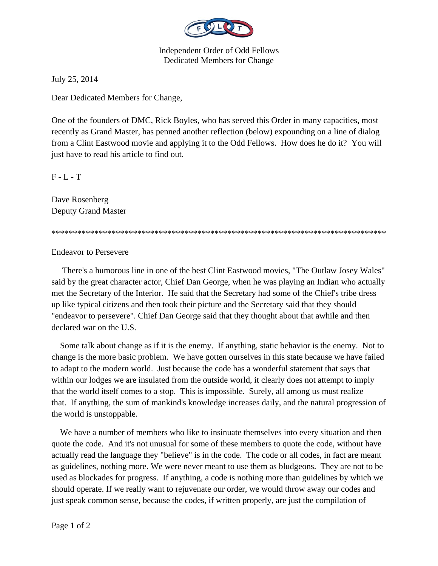

Independent Order of Odd Fellows Dedicated Members for Change

July 25, 2014

Dear Dedicated Members for Change,

One of the founders of DMC, Rick Boyles, who has served this Order in many capacities, most recently as Grand Master, has penned another reflection (below) expounding on a line of dialog from a Clint Eastwood movie and applying it to the Odd Fellows. How does he do it? You will just have to read his article to find out.

 $F - L - T$ 

Dave Rosenberg Deputy Grand Master

\*\*\*\*\*\*\*\*\*\*\*\*\*\*\*\*\*\*\*\*\*\*\*\*\*\*\*\*\*\*\*\*\*\*\*\*\*\*\*\*\*\*\*\*\*\*\*\*\*\*\*\*\*\*\*\*\*\*\*\*\*\*\*\*\*\*\*\*\*\*\*\*\*\*\*\*\*\*

Endeavor to Persevere

 There's a humorous line in one of the best Clint Eastwood movies, "The Outlaw Josey Wales" said by the great character actor, Chief Dan George, when he was playing an Indian who actually met the Secretary of the Interior. He said that the Secretary had some of the Chief's tribe dress up like typical citizens and then took their picture and the Secretary said that they should "endeavor to persevere". Chief Dan George said that they thought about that awhile and then declared war on the U.S.

 Some talk about change as if it is the enemy. If anything, static behavior is the enemy. Not to change is the more basic problem. We have gotten ourselves in this state because we have failed to adapt to the modern world. Just because the code has a wonderful statement that says that within our lodges we are insulated from the outside world, it clearly does not attempt to imply that the world itself comes to a stop. This is impossible. Surely, all among us must realize that. If anything, the sum of mankind's knowledge increases daily, and the natural progression of the world is unstoppable.

 We have a number of members who like to insinuate themselves into every situation and then quote the code. And it's not unusual for some of these members to quote the code, without have actually read the language they "believe" is in the code. The code or all codes, in fact are meant as guidelines, nothing more. We were never meant to use them as bludgeons. They are not to be used as blockades for progress. If anything, a code is nothing more than guidelines by which we should operate. If we really want to rejuvenate our order, we would throw away our codes and just speak common sense, because the codes, if written properly, are just the compilation of